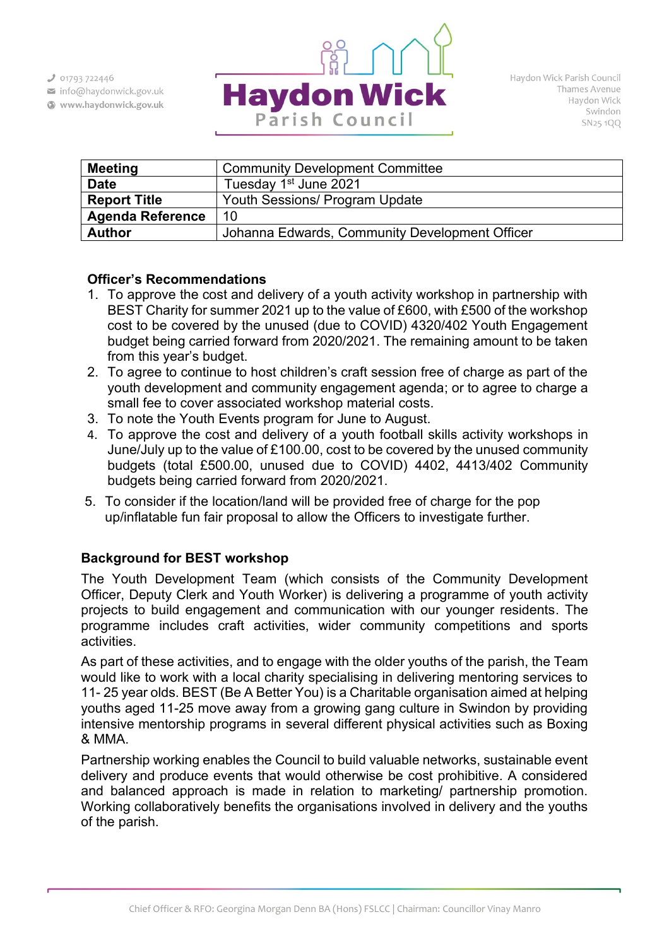$301793722446$ 

- info@haydonwick.gov.uk
- Www.haydonwick.gov.uk



| <b>Meeting</b>          | <b>Community Development Committee</b>         |  |  |  |  |
|-------------------------|------------------------------------------------|--|--|--|--|
| <b>Date</b>             | Tuesday 1 <sup>st</sup> June 2021              |  |  |  |  |
| <b>Report Title</b>     | Youth Sessions/ Program Update                 |  |  |  |  |
| <b>Agenda Reference</b> | 10                                             |  |  |  |  |
| <b>Author</b>           | Johanna Edwards, Community Development Officer |  |  |  |  |

### **Officer's Recommendations**

- 1. To approve the cost and delivery of a youth activity workshop in partnership with BEST Charity for summer 2021 up to the value of £600, with £500 of the workshop cost to be covered by the unused (due to COVID) 4320/402 Youth Engagement budget being carried forward from 2020/2021. The remaining amount to be taken from this year's budget.
- 2. To agree to continue to host children's craft session free of charge as part of the youth development and community engagement agenda; or to agree to charge a small fee to cover associated workshop material costs.
- 3. To note the Youth Events program for June to August.
- 4. To approve the cost and delivery of a youth football skills activity workshops in June/July up to the value of £100.00, cost to be covered by the unused community budgets (total £500.00, unused due to COVID) 4402, 4413/402 Community budgets being carried forward from 2020/2021.
- 5. To consider if the location/land will be provided free of charge for the pop up/inflatable fun fair proposal to allow the Officers to investigate further.

# **Background for BEST workshop**

The Youth Development Team (which consists of the Community Development Officer, Deputy Clerk and Youth Worker) is delivering a programme of youth activity projects to build engagement and communication with our younger residents. The programme includes craft activities, wider community competitions and sports activities.

As part of these activities, and to engage with the older youths of the parish, the Team would like to work with a local charity specialising in delivering mentoring services to 11- 25 year olds. BEST (Be A Better You) is a Charitable organisation aimed at helping youths aged 11-25 move away from a growing gang culture in Swindon by providing intensive mentorship programs in several different physical activities such as Boxing & MMA.

Partnership working enables the Council to build valuable networks, sustainable event delivery and produce events that would otherwise be cost prohibitive. A considered and balanced approach is made in relation to marketing/ partnership promotion. Working collaboratively benefits the organisations involved in delivery and the youths of the parish.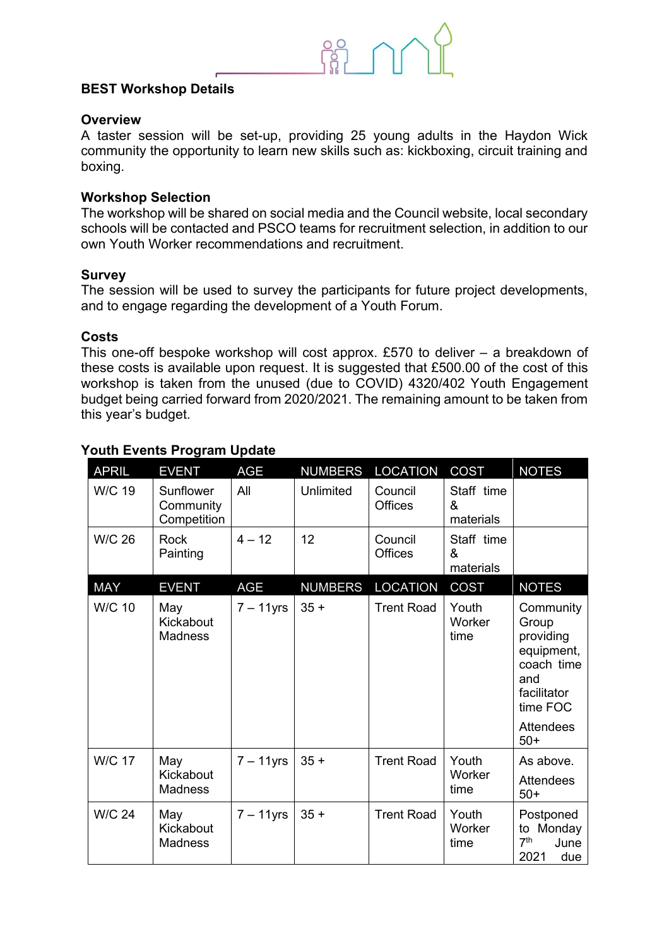### **BEST Workshop Details**

#### **Overview**

A taster session will be set-up, providing 25 young adults in the Haydon Wick community the opportunity to learn new skills such as: kickboxing, circuit training and boxing.

#### **Workshop Selection**

The workshop will be shared on social media and the Council website, local secondary schools will be contacted and PSCO teams for recruitment selection, in addition to our own Youth Worker recommendations and recruitment.

#### **Survey**

The session will be used to survey the participants for future project developments, and to engage regarding the development of a Youth Forum.

#### **Costs**

This one-off bespoke workshop will cost approx. £570 to deliver – a breakdown of these costs is available upon request. It is suggested that £500.00 of the cost of this workshop is taken from the unused (due to COVID) 4320/402 Youth Engagement budget being carried forward from 2020/2021. The remaining amount to be taken from this year's budget.

| <b>APRIL</b>  | <b>EVENT</b>                          | <b>AGE</b>   | <b>NUMBERS</b> | <b>LOCATION</b>           | <b>COST</b>                  | <b>NOTES</b>                                                                                                               |
|---------------|---------------------------------------|--------------|----------------|---------------------------|------------------------------|----------------------------------------------------------------------------------------------------------------------------|
| <b>W/C 19</b> | Sunflower<br>Community<br>Competition | All          | Unlimited      | Council<br><b>Offices</b> | Staff time<br>&<br>materials |                                                                                                                            |
| <b>W/C 26</b> | <b>Rock</b><br>Painting               | $4 - 12$     | 12             | Council<br><b>Offices</b> | Staff time<br>&<br>materials |                                                                                                                            |
| <b>MAY</b>    | <b>EVENT</b>                          | <b>AGE</b>   | <b>NUMBERS</b> | <b>LOCATION</b>           | COST                         | <b>NOTES</b>                                                                                                               |
| <b>W/C 10</b> | May<br>Kickabout<br><b>Madness</b>    | $7 - 11$ yrs | $35 +$         | <b>Trent Road</b>         | Youth<br>Worker<br>time      | Community<br>Group<br>providing<br>equipment,<br>coach time<br>and<br>facilitator<br>time FOC<br><b>Attendees</b><br>$50+$ |
| <b>W/C 17</b> | May<br>Kickabout<br><b>Madness</b>    | $7 - 11$ yrs | $35 +$         | <b>Trent Road</b>         | Youth<br>Worker<br>time      | As above.<br><b>Attendees</b><br>$50+$                                                                                     |
| <b>W/C 24</b> | May<br>Kickabout<br><b>Madness</b>    | $7 - 11$ yrs | $35 +$         | <b>Trent Road</b>         | Youth<br>Worker<br>time      | Postponed<br>to Monday<br>7 <sup>th</sup><br>June<br>2021<br>due                                                           |

# **Youth Events Program Update**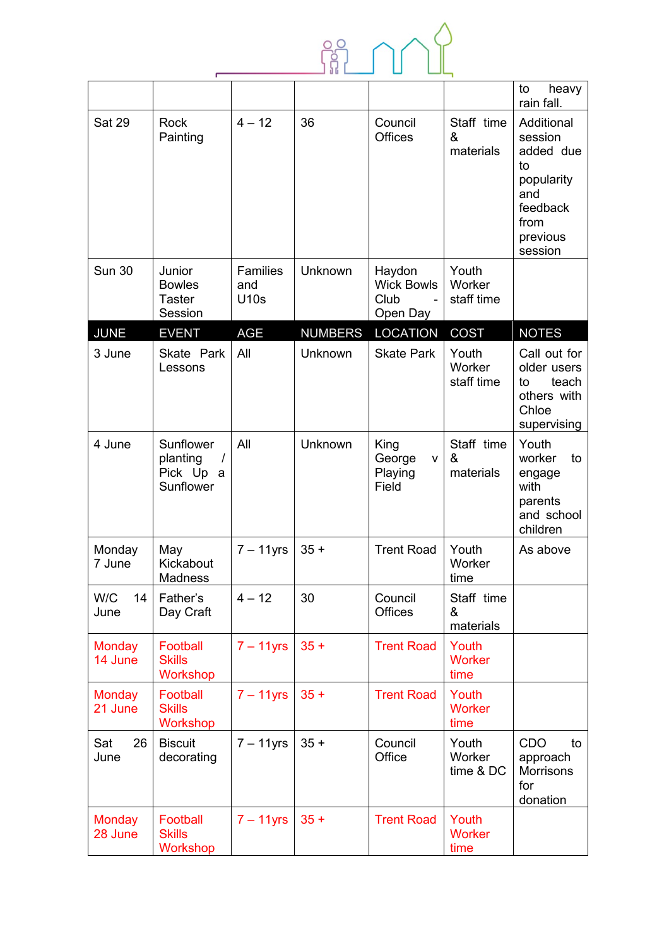

|                          |                                                             |                                |                |                                                 |                                | to<br>heavy<br>rain fall.                                                                                |
|--------------------------|-------------------------------------------------------------|--------------------------------|----------------|-------------------------------------------------|--------------------------------|----------------------------------------------------------------------------------------------------------|
| <b>Sat 29</b>            | <b>Rock</b><br>Painting                                     | $4 - 12$                       | 36             | Council<br><b>Offices</b>                       | Staff time<br>&<br>materials   | Additional<br>session<br>added due<br>to<br>popularity<br>and<br>feedback<br>from<br>previous<br>session |
| <b>Sun 30</b>            | Junior<br><b>Bowles</b><br>Taster<br>Session                | <b>Families</b><br>and<br>U10s | Unknown        | Haydon<br><b>Wick Bowls</b><br>Club<br>Open Day | Youth<br>Worker<br>staff time  |                                                                                                          |
| <b>JUNE</b>              | <b>EVENT</b>                                                | <b>AGE</b>                     | <b>NUMBERS</b> | <b>LOCATION</b>                                 | <b>COST</b>                    | <b>NOTES</b>                                                                                             |
| 3 June                   | Skate Park<br>Lessons                                       | All                            | Unknown        | <b>Skate Park</b>                               | Youth<br>Worker<br>staff time  | Call out for<br>older users<br>teach<br>to<br>others with<br>Chloe<br>supervising                        |
| 4 June                   | Sunflower<br>planting<br>$\prime$<br>Pick Up a<br>Sunflower | All                            | Unknown        | King<br>George<br>v<br>Playing<br>Field         | Staff time<br>&<br>materials   | Youth<br>worker<br>to<br>engage<br>with<br>parents<br>and school<br>children                             |
| Monday<br>7 June         | May<br>Kickabout<br><b>Madness</b>                          | $7 - 11$ yrs                   | $35 +$         | <b>Trent Road</b>                               | Youth<br>Worker<br>time        | As above                                                                                                 |
| W/C<br>14<br>June        | Father's<br>Day Craft                                       | $4 - 12$                       | 30             | Council<br><b>Offices</b>                       | Staff time<br>&<br>materials   |                                                                                                          |
| <b>Monday</b><br>14 June | Football<br><b>Skills</b><br>Workshop                       | $7 - 11$ yrs                   | $35 +$         | <b>Trent Road</b>                               | Youth<br><b>Worker</b><br>time |                                                                                                          |
| <b>Monday</b><br>21 June | Football<br><b>Skills</b><br>Workshop                       | $7 - 11$ yrs                   | $35 +$         | <b>Trent Road</b>                               | Youth<br>Worker<br>time        |                                                                                                          |
| Sat<br>26<br>June        | <b>Biscuit</b><br>decorating                                | $7 - 11$ yrs                   | $35 +$         | Council<br>Office                               | Youth<br>Worker<br>time & DC   | CDO<br>to<br>approach<br><b>Morrisons</b><br>for<br>donation                                             |
| <b>Monday</b><br>28 June | Football<br><b>Skills</b><br>Workshop                       | $7 - 11$ yrs                   | $35 +$         | <b>Trent Road</b>                               | Youth<br><b>Worker</b><br>time |                                                                                                          |